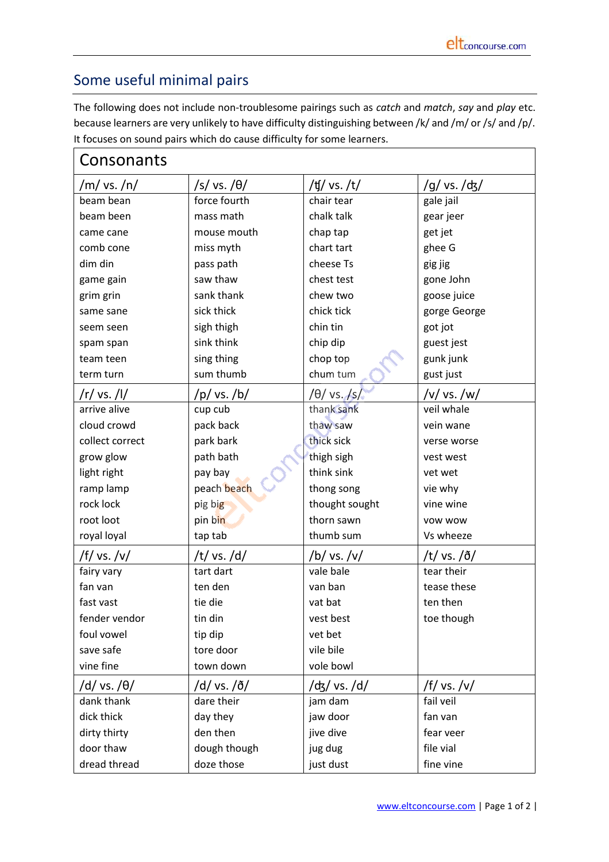## Some useful minimal pairs

The following does not include non-troublesome pairings such as *catch* and *match*, *say* and *play* etc. because learners are very unlikely to have difficulty distinguishing between /k/ and /m/ or /s/ and /p/. It focuses on sound pairs which do cause difficulty for some learners.

| Consonants      |                    |                |                    |  |
|-----------------|--------------------|----------------|--------------------|--|
| /m/ vs. /n/     | $/s/vs. / \theta/$ | /ʧ/ vs. /t/    | /g/ vs. /ʤ/        |  |
| beam bean       | force fourth       | chair tear     | gale jail          |  |
| beam been       | mass math          | chalk talk     | gear jeer          |  |
| came cane       | mouse mouth        | chap tap       | get jet            |  |
| comb cone       | miss myth          | chart tart     | ghee G             |  |
| dim din         | pass path          | cheese Ts      | gig jig            |  |
| game gain       | saw thaw           | chest test     | gone John          |  |
| grim grin       | sank thank         | chew two       | goose juice        |  |
| same sane       | sick thick         | chick tick     | gorge George       |  |
| seem seen       | sigh thigh         | chin tin       | got jot            |  |
| spam span       | sink think         | chip dip       | guest jest         |  |
| team teen       | sing thing         | chop top       | gunk junk          |  |
| term turn       | sum thumb          | chum tum       | gust just          |  |
| /r/ vs. /l/     | /p / vs. / b/      | /θ/ vs. /s/    | /v/ vs. /w/        |  |
| arrive alive    | cup cub            | thank sank     | veil whale         |  |
| cloud crowd     | pack back          | thaw saw       | vein wane          |  |
| collect correct | park bark          | thick sick     | verse worse        |  |
| grow glow       | path bath          | thigh sigh     | vest west          |  |
| light right     | pay bay            | think sink     | vet wet            |  |
| ramp lamp       | peach beach        | thong song     | vie why            |  |
| rock lock       | pig big            | thought sought | vine wine          |  |
| root loot       | pin bin            | thorn sawn     | <b>VOW WOW</b>     |  |
| royal loyal     | tap tab            | thumb sum      | Vs wheeze          |  |
| /f/ vs. /v/     | /t/ vs./d/         | /b/ vs./v/     | /t/ vs./ $\delta/$ |  |
| fairy vary      | tart dart          | vale bale      | tear their         |  |
| fan van         | ten den            | van ban        | tease these        |  |
| fast vast       | tie die            | vat bat        | ten then           |  |
| fender vendor   | tin din            | vest best      | toe though         |  |
| foul vowel      | tip dip            | vet bet        |                    |  |
| save safe       | tore door          | vile bile      |                    |  |
| vine fine       | town down          | vole bowl      |                    |  |
| /d/ vs. /θ/     | /d/ vs. /ð/        | /ʤ/ vs. /d/    | /f/ vs./v/         |  |
| dank thank      | dare their         | jam dam        | fail veil          |  |
| dick thick      | day they           | jaw door       | fan van            |  |
| dirty thirty    | den then           | jive dive      | fear veer          |  |
| door thaw       | dough though       | jug dug        | file vial          |  |
| dread thread    | doze those         | just dust      | fine vine          |  |